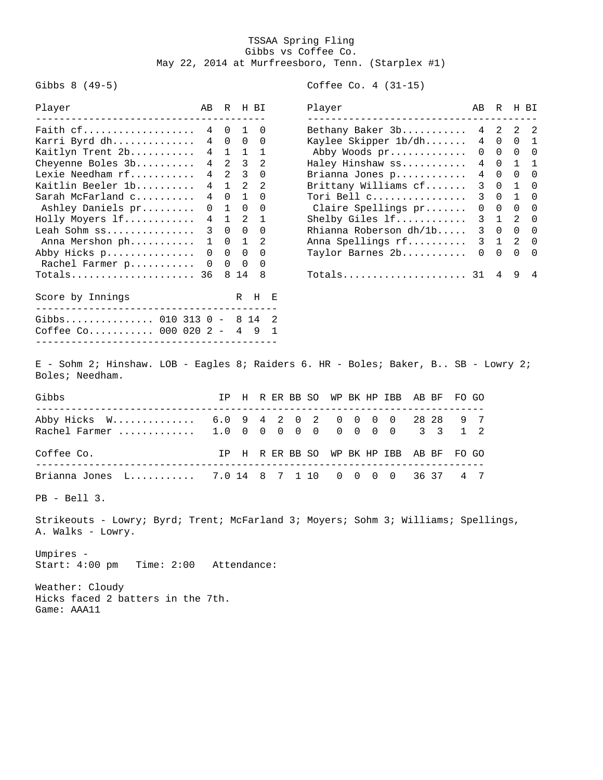## TSSAA Spring Fling Gibbs vs Coffee Co. May 22, 2014 at Murfreesboro, Tenn. (Starplex #1)

Gibbs 8 (49-5) Coffee Co. 4 (31-15)

| Player<br>_______________________________             | AВ             |                |                | R H BI         | Player<br>-----------------------------                                            | AВ              | R              |               | H BI           |
|-------------------------------------------------------|----------------|----------------|----------------|----------------|------------------------------------------------------------------------------------|-----------------|----------------|---------------|----------------|
| Faith cf                                              | 4              |                | $0\quad1$      | $\Omega$       | Bethany Baker 3b                                                                   |                 | 4 2            | 2             | - 2            |
| Karri Byrd dh                                         | 4              | $\Omega$       | $\Omega$       | $\Omega$       | Kaylee Skipper 1b/dh                                                               | $\overline{4}$  | $\Omega$       | $\Omega$      | $\mathbf{1}$   |
| Kaitlyn Trent 2b                                      | 4              | $\mathbf{1}$   | 1              | $\mathbf{1}$   | Abby Woods pr                                                                      | $\Omega$        | $\overline{0}$ | $\Omega$      | $\Omega$       |
| Cheyenne Boles 3b                                     | $\overline{4}$ | $\overline{2}$ | $\overline{3}$ | 2              | Haley Hinshaw ss                                                                   |                 | $4\quad 0$     | $\mathbf{1}$  | $\overline{1}$ |
| Lexie Needham rf                                      | 4              | 2              | $\mathcal{E}$  | $\Omega$       | Brianna Jones p                                                                    | $4\overline{ }$ | $\Omega$       | $\Omega$      | $\Omega$       |
| Kaitlin Beeler 1b                                     | 4              | $\overline{1}$ | $\mathcal{L}$  | $\mathfrak{D}$ | Brittany Williams cf                                                               | 3 <sup>7</sup>  | $\Omega$       | $\mathbf{1}$  | $\Omega$       |
| Sarah McFarland c                                     | 4              | $\Omega$       | $\mathbf{1}$   | $\Omega$       | Tori Bell c                                                                        | 3               | $\Omega$       | $\mathbf{1}$  | $\Omega$       |
| Ashley Daniels pr                                     | $\Omega$       | $\overline{1}$ | $\Omega$       | $\Omega$       | Claire Spellings pr                                                                | $\Omega$        | $\mathbf{0}$   | $\Omega$      | $\Omega$       |
| Holly Moyers lf                                       | 4              | $\overline{1}$ | $\mathcal{L}$  | $\overline{1}$ | Shelby Giles If                                                                    | 3               | $\overline{1}$ | $\mathcal{L}$ | $\Omega$       |
| Leah Sohm ss                                          | 3              | $\Omega$       | $\Omega$       | $\Omega$       | Rhianna Roberson dh/1b                                                             |                 | $3 \quad 0$    | $\Omega$      | $\Omega$       |
| Anna Mershon ph                                       | $\mathbf{1}$   | $\Omega$       | $\mathbf{1}$   | 2              | Anna Spellings rf                                                                  |                 | $3 \quad 1$    | 2             | $\Omega$       |
| Abby Hicks p                                          | $\Omega$       | $\Omega$       | $\Omega$       | $\Omega$       | Taylor Barnes 2b                                                                   | $\Omega$        | $\Omega$       | $\Omega$      | $\Omega$       |
| Rachel Farmer p                                       | $\Omega$       | $\Omega$       | $\Omega$       | $\Omega$       |                                                                                    |                 |                |               |                |
| Totals 36                                             |                | 8              | 14             | 8              | Totals 31                                                                          |                 | 4              | 9             | 4              |
| Score by Innings<br>________________________________  |                |                | R              | H              | Е                                                                                  |                 |                |               |                |
| Gibbs 010 313 0 - 8 14<br>Coffee Co 000 020 2 - 4 9 1 |                |                |                |                |                                                                                    |                 |                |               |                |
| Boles; Needham.                                       |                |                |                |                | E - Sohm 2; Hinshaw. LOB - Eagles 8; Raiders 6. HR - Boles; Baker, B SB - Lowry 2; |                 |                |               |                |

| Gibbs                                                                                          |  |  |  |  | IP H R ER BB SO WP BK HP IBB AB BF FO GO |  |  |
|------------------------------------------------------------------------------------------------|--|--|--|--|------------------------------------------|--|--|
| Abby Hicks W 6.0 9 4 2 0 2 0 0 0 0 28 28 9 7<br>Rachel Farmer  1.0 0 0 0 0 0 0 0 0 0 0 3 3 1 2 |  |  |  |  |                                          |  |  |
| Coffee Co.                                                                                     |  |  |  |  | IP H R ER BB SO WP BK HP IBB AB BF FO GO |  |  |
| Brianna Jones L 7.0 14 8 7 1 10 0 0 0 0 36 37 4 7                                              |  |  |  |  |                                          |  |  |

PB - Bell 3.

Strikeouts - Lowry; Byrd; Trent; McFarland 3; Moyers; Sohm 3; Williams; Spellings, A. Walks - Lowry.

Umpires - Start: 4:00 pm Time: 2:00 Attendance:

Weather: Cloudy Hicks faced 2 batters in the 7th. Game: AAA11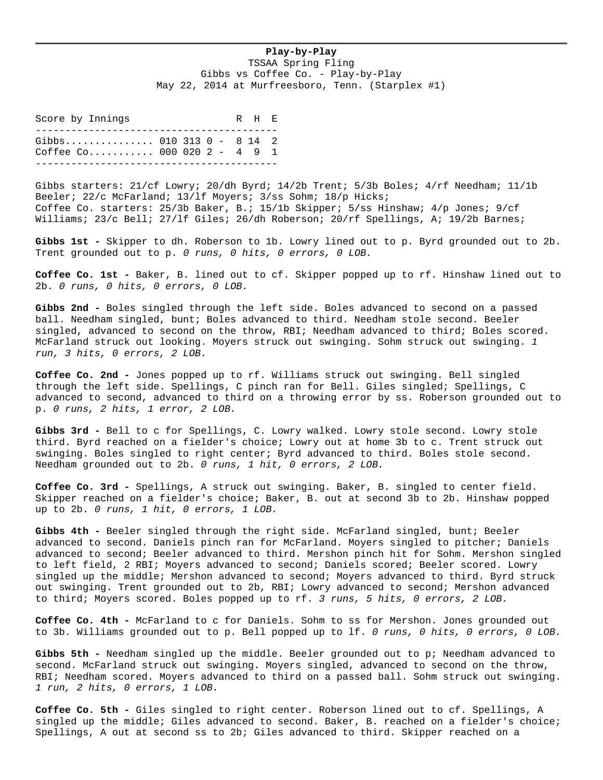## **Play-by-Play**

TSSAA Spring Fling Gibbs vs Coffee Co. - Play-by-Play May 22, 2014 at Murfreesboro, Tenn. (Starplex #1)

Score by Innings R H E ----------------------------------------- Gibbs.................. 010 313 0 - 8 14 2 Coffee Co........... 000 020 2 - 4 9 1 -----------------------------------------

Gibbs starters: 21/cf Lowry; 20/dh Byrd; 14/2b Trent; 5/3b Boles; 4/rf Needham; 11/1b Beeler; 22/c McFarland; 13/lf Moyers; 3/ss Sohm; 18/p Hicks; Coffee Co. starters: 25/3b Baker, B.; 15/1b Skipper; 5/ss Hinshaw; 4/p Jones; 9/cf Williams; 23/c Bell; 27/lf Giles; 26/dh Roberson; 20/rf Spellings, A; 19/2b Barnes;

**Gibbs 1st -** Skipper to dh. Roberson to 1b. Lowry lined out to p. Byrd grounded out to 2b. Trent grounded out to p. *0 runs, 0 hits, 0 errors, 0 LOB.*

**Coffee Co. 1st -** Baker, B. lined out to cf. Skipper popped up to rf. Hinshaw lined out to 2b. *0 runs, 0 hits, 0 errors, 0 LOB.*

**Gibbs 2nd -** Boles singled through the left side. Boles advanced to second on a passed ball. Needham singled, bunt; Boles advanced to third. Needham stole second. Beeler singled, advanced to second on the throw, RBI; Needham advanced to third; Boles scored. McFarland struck out looking. Moyers struck out swinging. Sohm struck out swinging. *1 run, 3 hits, 0 errors, 2 LOB.*

**Coffee Co. 2nd -** Jones popped up to rf. Williams struck out swinging. Bell singled through the left side. Spellings, C pinch ran for Bell. Giles singled; Spellings, C advanced to second, advanced to third on a throwing error by ss. Roberson grounded out to p. *0 runs, 2 hits, 1 error, 2 LOB.*

**Gibbs 3rd -** Bell to c for Spellings, C. Lowry walked. Lowry stole second. Lowry stole third. Byrd reached on a fielder's choice; Lowry out at home 3b to c. Trent struck out swinging. Boles singled to right center; Byrd advanced to third. Boles stole second. Needham grounded out to 2b. *0 runs, 1 hit, 0 errors, 2 LOB.*

**Coffee Co. 3rd -** Spellings, A struck out swinging. Baker, B. singled to center field. Skipper reached on a fielder's choice; Baker, B. out at second 3b to 2b. Hinshaw popped up to 2b. *0 runs, 1 hit, 0 errors, 1 LOB.*

**Gibbs 4th -** Beeler singled through the right side. McFarland singled, bunt; Beeler advanced to second. Daniels pinch ran for McFarland. Moyers singled to pitcher; Daniels advanced to second; Beeler advanced to third. Mershon pinch hit for Sohm. Mershon singled to left field, 2 RBI; Moyers advanced to second; Daniels scored; Beeler scored. Lowry singled up the middle; Mershon advanced to second; Moyers advanced to third. Byrd struck out swinging. Trent grounded out to 2b, RBI; Lowry advanced to second; Mershon advanced to third; Moyers scored. Boles popped up to rf. *3 runs, 5 hits, 0 errors, 2 LOB.*

**Coffee Co. 4th -** McFarland to c for Daniels. Sohm to ss for Mershon. Jones grounded out to 3b. Williams grounded out to p. Bell popped up to lf. *0 runs, 0 hits, 0 errors, 0 LOB.*

**Gibbs 5th -** Needham singled up the middle. Beeler grounded out to p; Needham advanced to second. McFarland struck out swinging. Moyers singled, advanced to second on the throw, RBI; Needham scored. Moyers advanced to third on a passed ball. Sohm struck out swinging. *1 run, 2 hits, 0 errors, 1 LOB.*

**Coffee Co. 5th -** Giles singled to right center. Roberson lined out to cf. Spellings, A singled up the middle; Giles advanced to second. Baker, B. reached on a fielder's choice; Spellings, A out at second ss to 2b; Giles advanced to third. Skipper reached on a